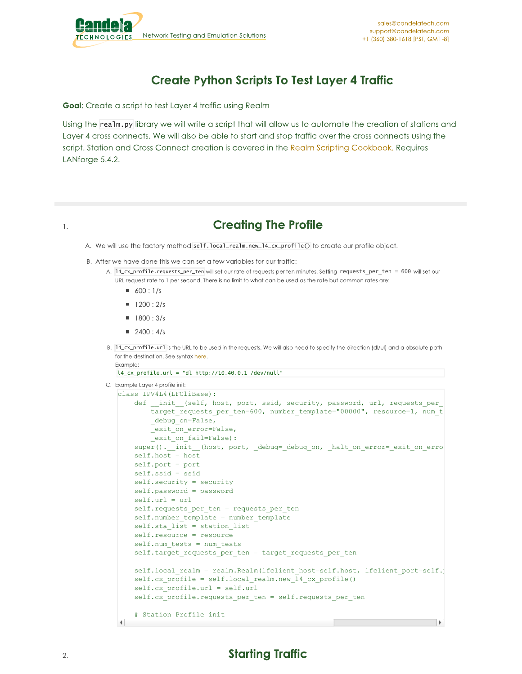

## **Create Python Scripts To Test Layer 4 Traffic**

Goal: Create a script to test Layer 4 traffic using Realm

Using the realm.py library we will write a script that will allow us to automate the creation of stations and Layer 4 cross connects. We will also be able to start and stop traffic over the cross connects using the script. Station and Cross Connect creation is covered in the Realm Scripting Cookbook. Requires LANforge 5.4.2.

```
1.
```
## **Creating The Profile**

- A. We will use the factory method self.local\_realm.new\_14\_cx\_profile() to create our profile object.
- B. After we have done this we can set a few variables for our traffic:
	- A. 14\_cx\_profile.requests\_per\_ten will set our rate of requests per ten minutes. Setting requests per ten = 600 will set our URL request rate to 1 per second. There is no limit to what can be used as the rate but common rates are:
		- $\bullet$  600 : 1/s
		- $1200:2/s$
		- $1800:3/s$
		- $2400:4/s$
	- B. 14\_cx\_profile.url is the URL to be used in the requests. We will also need to specify the direction (dl/ul) and a absolute path for the destination. See syntax here.

```
Example:
l4 cx profile.url = "dl http://10.40.0.1 /dev/null"
```

```
C. Example Layer 4 profile init:
```

```
class IPV4L4(LFCliBase):
    def init (self, host, port, ssid, security, password, url, requests per
       target requests per ten=600, number template="00000", resource=1, num t
        debug on=False,
        _exit_on_error=False,
        exit on fail=False):
    super(). init (host, port, debug= debug on, halt on error= exit on erro
    self.host = host
    self.port = port
   self.ssid = ssid
   self.security = security
    self.password = password
    self.url = url
    self.requests_per_ten = requests_per_ten
    self.number template = number template
   self.sta_list = station_list
   self.resource = resource
    self.num tests = num tests
    self.target requests per ten = target requests per ten
    self.local_realm = realm.Realm(lfclient_host=self.host, lfclient_port=self.
    self.cx profile = self.local realm.new 14 cx profile()
    self.cx_profile.url = self.url
    self.cx profile.requests per ten = self.requests per ten
    # Station Profile init\blacksquare
```